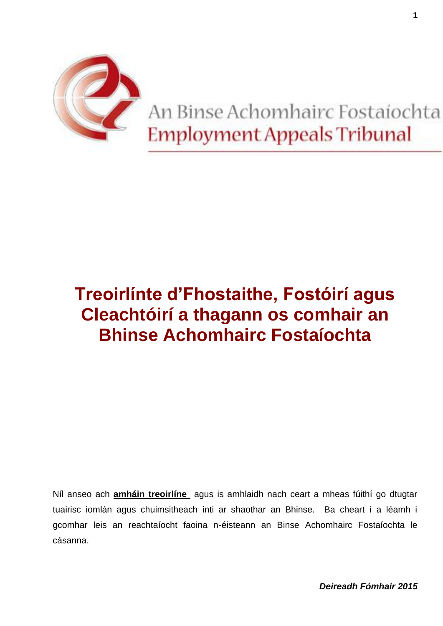

# An Binse Achomhairc Fostaíochta **Employment Appeals Tribunal**

**1**

# **Treoirlínte d'Fhostaithe, Fostóirí agus Cleachtóirí a thagann os comhair an Bhinse Achomhairc Fostaíochta**

Níl anseo ach **amháin treoirlíne** agus is amhlaidh nach ceart a mheas fúithí go dtugtar tuairisc iomlán agus chuimsitheach inti ar shaothar an Bhinse. Ba cheart í a léamh i gcomhar leis an reachtaíocht faoina n-éisteann an Binse Achomhairc Fostaíochta le cásanna.

*Deireadh Fómhair 2015*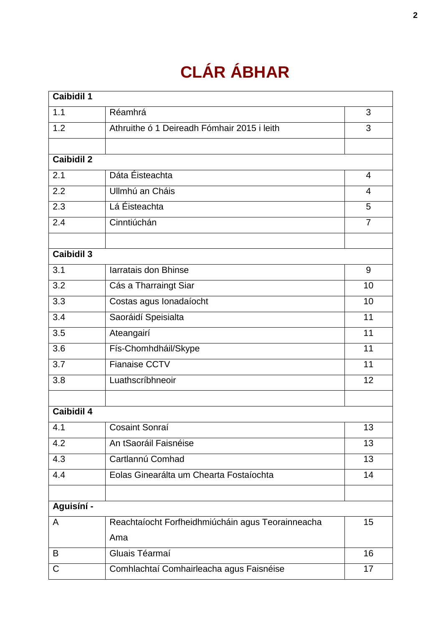# **CLÁR ÁBHAR**

| <b>Caibidil 1</b> |                                                   |                |  |  |
|-------------------|---------------------------------------------------|----------------|--|--|
| 1.1               | Réamhrá                                           | 3              |  |  |
| 1.2               | Athruithe ó 1 Deireadh Fómhair 2015 i leith       | 3              |  |  |
|                   |                                                   |                |  |  |
| <b>Caibidil 2</b> |                                                   |                |  |  |
| 2.1               | Dáta Éisteachta                                   | $\overline{4}$ |  |  |
| 2.2               | Ullmhú an Cháis                                   | 4              |  |  |
| 2.3               | Lá Éisteachta                                     | 5              |  |  |
| 2.4               | Cinntiúchán                                       | $\overline{7}$ |  |  |
|                   |                                                   |                |  |  |
| <b>Caibidil 3</b> |                                                   |                |  |  |
| 3.1               | larratais don Bhinse                              | 9              |  |  |
| 3.2               | Cás a Tharraingt Siar                             | 10             |  |  |
| 3.3               | Costas agus Ionadaíocht                           | 10             |  |  |
| 3.4               | Saoráidí Speisialta                               | 11             |  |  |
| 3.5               | Ateangairí                                        | 11             |  |  |
| 3.6               | Fís-Chomhdháil/Skype                              | 11             |  |  |
| 3.7               | <b>Fianaise CCTV</b>                              | 11             |  |  |
| 3.8               | Luathscríbhneoir                                  | 12             |  |  |
|                   |                                                   |                |  |  |
| <b>Caibidil 4</b> |                                                   |                |  |  |
| 4.1               | Cosaint Sonraí                                    | 13             |  |  |
| 4.2               | An tSaoráil Faisnéise                             | 13             |  |  |
| 4.3               | Cartlannú Comhad                                  | 13             |  |  |
| 4.4               | Eolas Ginearálta um Chearta Fostaíochta           | 14             |  |  |
|                   |                                                   |                |  |  |
| Aguisíní -        |                                                   |                |  |  |
| A                 | Reachtaíocht Forfheidhmiúcháin agus Teorainneacha | 15             |  |  |
|                   | Ama                                               |                |  |  |
| B                 | Gluais Téarmaí                                    | 16             |  |  |
| $\mathsf C$       | Comhlachtaí Comhairleacha agus Faisnéise          | 17             |  |  |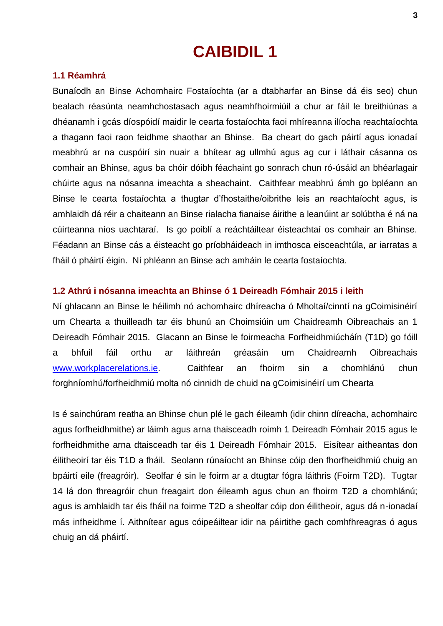# **1.1 Réamhrá**

Bunaíodh an Binse Achomhairc Fostaíochta (ar a dtabharfar an Binse dá éis seo) chun bealach réasúnta neamhchostasach agus neamhfhoirmiúil a chur ar fáil le breithiúnas a dhéanamh i gcás díospóidí maidir le cearta fostaíochta faoi mhíreanna ilíocha reachtaíochta a thagann faoi raon feidhme shaothar an Bhinse. Ba cheart do gach páirtí agus ionadaí meabhrú ar na cuspóirí sin nuair a bhítear ag ullmhú agus ag cur i láthair cásanna os comhair an Bhinse, agus ba chóir dóibh féachaint go sonrach chun ró-úsáid an bhéarlagair chúirte agus na nósanna imeachta a sheachaint. Caithfear meabhrú ámh go bpléann an Binse le cearta fostaíochta a thugtar d'fhostaithe/oibrithe leis an reachtaíocht agus, is amhlaidh dá réir a chaiteann an Binse rialacha fianaise áirithe a leanúint ar solúbtha é ná na cúirteanna níos uachtaraí. Is go poiblí a reáchtáiltear éisteachtaí os comhair an Bhinse. Féadann an Binse cás a éisteacht go príobháideach in imthosca eisceachtúla, ar iarratas a fháil ó pháirtí éigin. Ní phléann an Binse ach amháin le cearta fostaíochta.

# **1.2 Athrú i nósanna imeachta an Bhinse ó 1 Deireadh Fómhair 2015 i leith**

Ní ghlacann an Binse le héilimh nó achomhairc dhíreacha ó Mholtaí/cinntí na gCoimisinéirí um Chearta a thuilleadh tar éis bhunú an Choimsiúin um Chaidreamh Oibreachais an 1 Deireadh Fómhair 2015. Glacann an Binse le foirmeacha Forfheidhmiúcháín (T1D) go fóill a bhfuil fáil orthu ar láithreán gréasáin um Chaidreamh Oibreachais [www.workplacerelations.ie.](http://www.workplacerelations.ie/) Caithfear an fhoirm sin a chomhlánú chun forghníomhú/forfheidhmiú molta nó cinnidh de chuid na gCoimisinéirí um Chearta

Is é sainchúram reatha an Bhinse chun plé le gach éileamh (idir chinn díreacha, achomhairc agus forfheidhmithe) ar láimh agus arna thaisceadh roimh 1 Deireadh Fómhair 2015 agus le forfheidhmithe arna dtaisceadh tar éis 1 Deireadh Fómhair 2015. Eisítear aitheantas don éilitheoirí tar éis T1D a fháil. Seolann rúnaíocht an Bhinse cóip den fhorfheidhmiú chuig an bpáirtí eile (freagróir). Seolfar é sin le foirm ar a dtugtar fógra láithris (Foirm T2D). Tugtar 14 lá don fhreagróir chun freagairt don éileamh agus chun an fhoirm T2D a chomhlánú; agus is amhlaidh tar éis fháil na foirme T2D a sheolfar cóip don éilitheoir, agus dá n-ionadaí más infheidhme í. Aithnítear agus cóipeáiltear idir na páirtithe gach comhfhreagras ó agus chuig an dá pháirtí.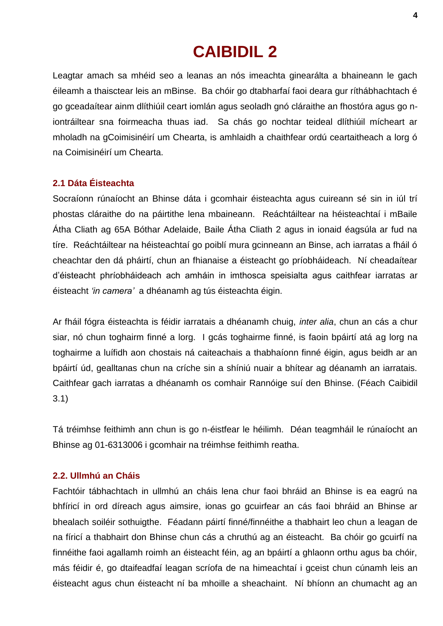Leagtar amach sa mhéid seo a leanas an nós imeachta ginearálta a bhaineann le gach éileamh a thaisctear leis an mBinse. Ba chóir go dtabharfaí faoi deara gur ríthábhachtach é go gceadaítear ainm dlíthiúil ceart iomlán agus seoladh gnó cláraithe an fhostóra agus go niontráiltear sna foirmeacha thuas iad. Sa chás go nochtar teideal dlíthiúil mícheart ar mholadh na gCoimisinéirí um Chearta, is amhlaidh a chaithfear ordú ceartaitheach a lorg ó na Coimisinéirí um Chearta.

# **2.1 Dáta Éisteachta**

Socraíonn rúnaíocht an Bhinse dáta i gcomhair éisteachta agus cuireann sé sin in iúl trí phostas cláraithe do na páirtithe lena mbaineann. Reáchtáiltear na héisteachtaí i mBaile Átha Cliath ag 65A Bóthar Adelaide, Baile Átha Cliath 2 agus in ionaid éagsúla ar fud na tíre. Reáchtáiltear na héisteachtaí go poiblí mura gcinneann an Binse, ach iarratas a fháil ó cheachtar den dá pháirtí, chun an fhianaise a éisteacht go príobháideach. Ní cheadaítear d'éisteacht phríobháideach ach amháin in imthosca speisialta agus caithfear iarratas ar éisteacht *'in camera'* a dhéanamh ag tús éisteachta éigin.

Ar fháil fógra éisteachta is féidir iarratais a dhéanamh chuig, *inter alia*, chun an cás a chur siar, nó chun toghairm finné a lorg. I gcás toghairme finné, is faoin bpáirtí atá ag lorg na toghairme a luífidh aon chostais ná caiteachais a thabhaíonn finné éigin, agus beidh ar an bpáirtí úd, gealltanas chun na críche sin a shíniú nuair a bhítear ag déanamh an iarratais. Caithfear gach iarratas a dhéanamh os comhair Rannóige suí den Bhinse. (Féach Caibidil 3.1)

Tá tréimhse feithimh ann chun is go n-éistfear le héilimh. Déan teagmháil le rúnaíocht an Bhinse ag 01-6313006 i gcomhair na tréimhse feithimh reatha.

# **2.2. Ullmhú an Cháis**

Fachtóir tábhachtach in ullmhú an cháis lena chur faoi bhráid an Bhinse is ea eagrú na bhfíricí in ord díreach agus aimsire, ionas go gcuirfear an cás faoi bhráid an Bhinse ar bhealach soiléir sothuigthe. Féadann páirtí finné/finnéithe a thabhairt leo chun a leagan de na fíricí a thabhairt don Bhinse chun cás a chruthú ag an éisteacht. Ba chóir go gcuirfí na finnéithe faoi agallamh roimh an éisteacht féin, ag an bpáirtí a ghlaonn orthu agus ba chóir, más féidir é, go dtaifeadfaí leagan scríofa de na himeachtaí i gceist chun cúnamh leis an éisteacht agus chun éisteacht ní ba mhoille a sheachaint. Ní bhíonn an chumacht ag an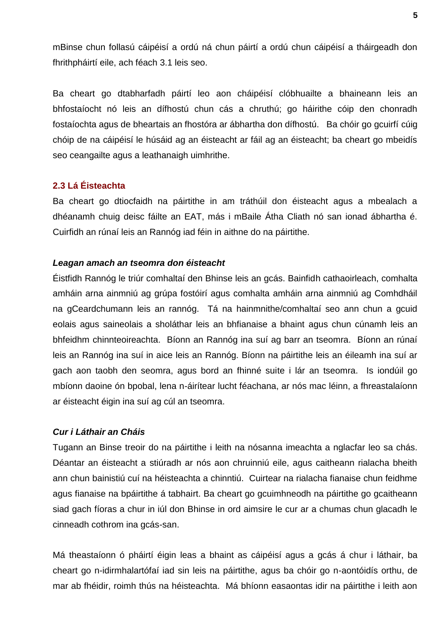mBinse chun follasú cáipéisí a ordú ná chun páirtí a ordú chun cáipéisí a tháirgeadh don fhrithpháirtí eile, ach féach 3.1 leis seo.

Ba cheart go dtabharfadh páirtí leo aon cháipéisí clóbhuailte a bhaineann leis an bhfostaíocht nó leis an dífhostú chun cás a chruthú; go háirithe cóip den chonradh fostaíochta agus de bheartais an fhostóra ar ábhartha don dífhostú. Ba chóir go gcuirfí cúig chóip de na cáipéisí le húsáid ag an éisteacht ar fáil ag an éisteacht; ba cheart go mbeidís seo ceangailte agus a leathanaigh uimhrithe.

# **2.3 Lá Éisteachta**

Ba cheart go dtiocfaidh na páirtithe in am tráthúil don éisteacht agus a mbealach a dhéanamh chuig deisc fáilte an EAT, más i mBaile Átha Cliath nó san ionad ábhartha é. Cuirfidh an rúnaí leis an Rannóg iad féin in aithne do na páirtithe.

# *Leagan amach an tseomra don éisteacht*

Éistfidh Rannóg le triúr comhaltaí den Bhinse leis an gcás. Bainfidh cathaoirleach, comhalta amháin arna ainmniú ag grúpa fostóirí agus comhalta amháin arna ainmniú ag Comhdháil na gCeardchumann leis an rannóg. Tá na hainmnithe/comhaltaí seo ann chun a gcuid eolais agus saineolais a sholáthar leis an bhfianaise a bhaint agus chun cúnamh leis an bhfeidhm chinnteoireachta. Bíonn an Rannóg ina suí ag barr an tseomra. Bíonn an rúnaí leis an Rannóg ina suí in aice leis an Rannóg. Bíonn na páirtithe leis an éileamh ina suí ar gach aon taobh den seomra, agus bord an fhinné suite i lár an tseomra. Is iondúil go mbíonn daoine ón bpobal, lena n-áirítear lucht féachana, ar nós mac léinn, a fhreastalaíonn ar éisteacht éigin ina suí ag cúl an tseomra.

# *Cur i Láthair an Cháis*

Tugann an Binse treoir do na páirtithe i leith na nósanna imeachta a nglacfar leo sa chás. Déantar an éisteacht a stiúradh ar nós aon chruinniú eile, agus caitheann rialacha bheith ann chun bainistiú cuí na héisteachta a chinntiú. Cuirtear na rialacha fianaise chun feidhme agus fianaise na bpáirtithe á tabhairt. Ba cheart go gcuimhneodh na páirtithe go gcaitheann siad gach fíoras a chur in iúl don Bhinse in ord aimsire le cur ar a chumas chun glacadh le cinneadh cothrom ina gcás-san.

Má theastaíonn ó pháirtí éigin leas a bhaint as cáipéisí agus a gcás á chur i láthair, ba cheart go n-idirmhalartófaí iad sin leis na páirtithe, agus ba chóir go n-aontóidís orthu, de mar ab fhéidir, roimh thús na héisteachta. Má bhíonn easaontas idir na páirtithe i leith aon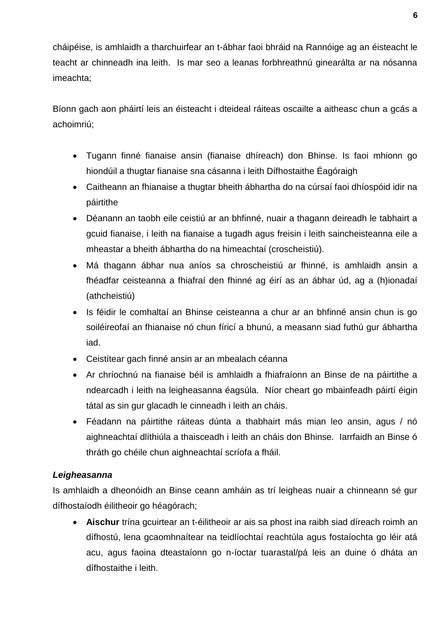cháipéise, is amhlaidh a tharchuirfear an t-ábhar faoi bhráid na Rannóige ag an éisteacht le teacht ar chinneadh ina leith. Is mar seo a leanas forbhreathnú ginearálta ar na nósanna imeachta;

Bíonn gach aon pháirtí leis an éisteacht i dteideal ráiteas oscailte a aitheasc chun a gcás a achoimriú;

- Tugann finné fianaise ansin (fianaise dhíreach) don Bhinse. Is faoi mhionn go hiondúil a thugtar fianaise sna cásanna i leith Dífhostaithe Éagóraigh
- Caitheann an fhianaise a thugtar bheith ábhartha do na cúrsaí faoi dhíospóid idir na páirtithe
- Déanann an taobh eile ceistiú ar an bhfinné, nuair a thagann deireadh le tabhairt a gcuid fianaise, i leith na fianaise a tugadh agus freisin i leith saincheisteanna eile a mheastar a bheith ábhartha do na himeachtaí (croscheistiú).
- Má thagann ábhar nua aníos sa chroscheistiú ar fhinné, is amhlaidh ansin a fhéadfar ceisteanna a fhiafraí den fhinné ag éirí as an ábhar úd, ag a (h)ionadaí (athcheistiú)
- Is féidir le comhaltaí an Bhinse ceisteanna a chur ar an bhfinné ansin chun is go soiléireofaí an fhianaise nó chun fíricí a bhunú, a measann siad futhú gur ábhartha iad.
- Ceistítear gach finné ansin ar an mbealach céanna
- Ar chríochnú na fianaise béil is amhlaidh a fhiafraíonn an Binse de na páirtithe a ndearcadh i leith na leigheasanna éagsúla. Níor cheart go mbainfeadh páirtí éigin tátal as sin gur glacadh le cinneadh i leith an cháis.
- Féadann na páirtithe ráiteas dúnta a thabhairt más mian leo ansin, agus / nó aighneachtaí dlíthiúla a thaisceadh i leith an cháis don Bhinse. Iarrfaidh an Binse ó thráth go chéile chun aighneachtaí scríofa a fháil.

# *Leigheasanna*

Is amhlaidh a dheonóidh an Binse ceann amháin as trí leigheas nuair a chinneann sé gur dífhostaíodh éilitheoir go héagórach;

 **Aischur** trína gcuirtear an t-éilitheoir ar ais sa phost ina raibh siad díreach roimh an dífhostú, lena gcaomhnaítear na teidlíochtaí reachtúla agus fostaíochta go léir atá acu, agus faoina dteastaíonn go n-íoctar tuarastal/pá leis an duine ó dháta an dífhostaithe i leith.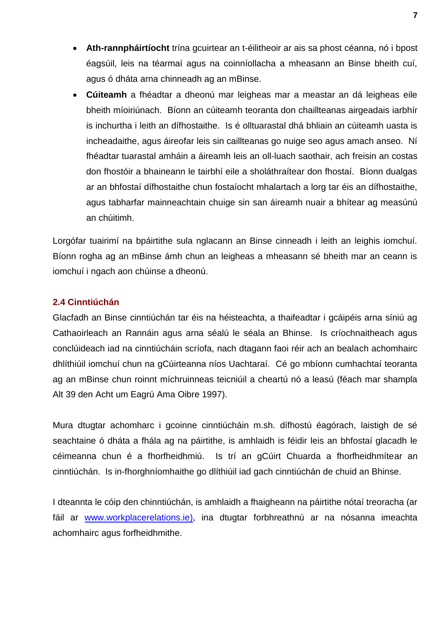- **Ath-rannpháirtíocht** trína gcuirtear an t-éilitheoir ar ais sa phost céanna, nó i bpost éagsúil, leis na téarmaí agus na coinníollacha a mheasann an Binse bheith cuí, agus ó dháta arna chinneadh ag an mBinse.
- **Cúiteamh** a fhéadtar a dheonú mar leigheas mar a meastar an dá leigheas eile bheith míoiriúnach. Bíonn an cúiteamh teoranta don chaillteanas airgeadais iarbhír is inchurtha i leith an dífhostaithe. Is é olltuarastal dhá bhliain an cúiteamh uasta is incheadaithe, agus áireofar leis sin caillteanas go nuige seo agus amach anseo. Ní fhéadtar tuarastal amháin a áireamh leis an oll-luach saothair, ach freisin an costas don fhostóir a bhaineann le tairbhí eile a sholáthraítear don fhostaí. Bíonn dualgas ar an bhfostaí dífhostaithe chun fostaíocht mhalartach a lorg tar éis an dífhostaithe, agus tabharfar mainneachtain chuige sin san áireamh nuair a bhítear ag measúnú an chúitimh.

Lorgófar tuairimí na bpáirtithe sula nglacann an Binse cinneadh i leith an leighis iomchuí. Bíonn rogha ag an mBinse ámh chun an leigheas a mheasann sé bheith mar an ceann is iomchuí i ngach aon chúinse a dheonú.

# **2.4 Cinntiúchán**

Glacfadh an Binse cinntiúchán tar éis na héisteachta, a thaifeadtar i gcáipéis arna síniú ag Cathaoirleach an Rannáin agus arna séalú le séala an Bhinse. Is críochnaitheach agus conclúideach iad na cinntiúcháin scríofa, nach dtagann faoi réir ach an bealach achomhairc dhlíthiúil iomchuí chun na gCúirteanna níos Uachtaraí. Cé go mbíonn cumhachtaí teoranta ag an mBinse chun roinnt míchruinneas teicniúil a cheartú nó a leasú (féach mar shampla Alt 39 den Acht um Eagrú Ama Oibre 1997).

Mura dtugtar achomharc i gcoinne cinntiúcháin m.sh. dífhostú éagórach, laistigh de sé seachtaine ó dháta a fhála ag na páirtithe, is amhlaidh is féidir leis an bhfostaí glacadh le céimeanna chun é a fhorfheidhmiú. Is trí an gCúirt Chuarda a fhorfheidhmítear an cinntiúchán. Is in-fhorghníomhaithe go dlíthiúil iad gach cinntiúchán de chuid an Bhinse.

I dteannta le cóip den chinntiúchán, is amhlaidh a fhaigheann na páirtithe nótaí treoracha (ar fáil ar [www.workplacerelations.ie\)](http://www.workplacerelations.ie/), ina dtugtar forbhreathnú ar na nósanna imeachta achomhairc agus forfheidhmithe.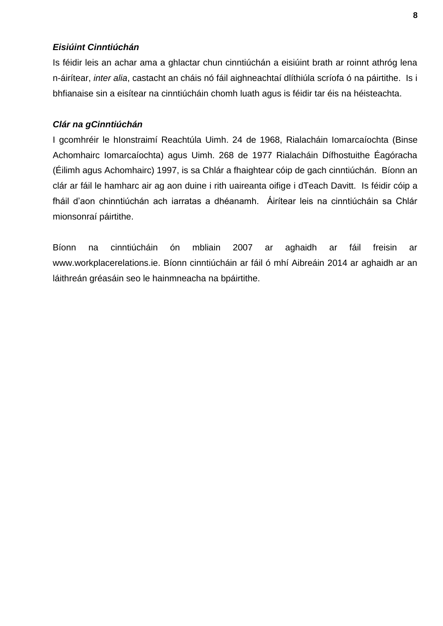# *Eisiúint Cinntiúchán*

Is féidir leis an achar ama a ghlactar chun cinntiúchán a eisiúint brath ar roinnt athróg lena n-áirítear, *inter alia*, castacht an cháis nó fáil aighneachtaí dlíthiúla scríofa ó na páirtithe. Is i bhfianaise sin a eisítear na cinntiúcháin chomh luath agus is féidir tar éis na héisteachta.

# *Clár na gCinntiúchán*

I gcomhréir le hIonstraimí Reachtúla Uimh. 24 de 1968, Rialacháin Iomarcaíochta (Binse Achomhairc Iomarcaíochta) agus Uimh. 268 de 1977 Rialacháin Dífhostuithe Éagóracha (Éilimh agus Achomhairc) 1997, is sa Chlár a fhaightear cóip de gach cinntiúchán. Bíonn an clár ar fáil le hamharc air ag aon duine i rith uaireanta oifige i dTeach Davitt. Is féidir cóip a fháil d'aon chinntiúchán ach iarratas a dhéanamh. Áirítear leis na cinntiúcháin sa Chlár mionsonraí páirtithe.

Bíonn na cinntiúcháin ón mbliain 2007 ar aghaidh ar fáil freisin ar www.workplacerelations.ie. Bíonn cinntiúcháin ar fáil ó mhí Aibreáin 2014 ar aghaidh ar an láithreán gréasáin seo le hainmneacha na bpáirtithe.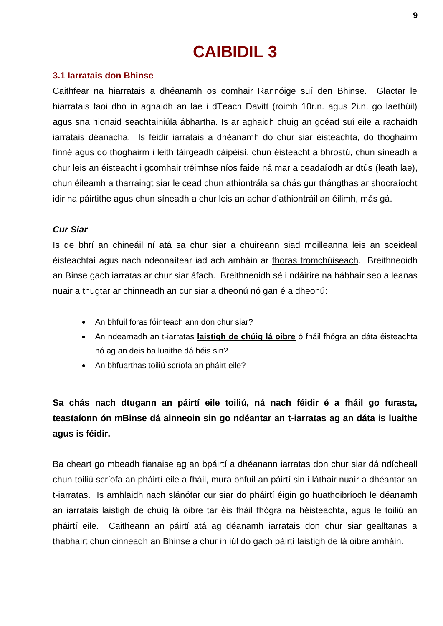# **3.1 Iarratais don Bhinse**

Caithfear na hiarratais a dhéanamh os comhair Rannóige suí den Bhinse. Glactar le hiarratais faoi dhó in aghaidh an lae i dTeach Davitt (roimh 10r.n. agus 2i.n. go laethúil) agus sna hionaid seachtainiúla ábhartha. Is ar aghaidh chuig an gcéad suí eile a rachaidh iarratais déanacha. Is féidir iarratais a dhéanamh do chur siar éisteachta, do thoghairm finné agus do thoghairm i leith táirgeadh cáipéisí, chun éisteacht a bhrostú, chun síneadh a chur leis an éisteacht i gcomhair tréimhse níos faide ná mar a ceadaíodh ar dtús (leath lae), chun éileamh a tharraingt siar le cead chun athiontrála sa chás gur thángthas ar shocraíocht idir na páirtithe agus chun síneadh a chur leis an achar d'athiontráil an éilimh, más gá.

## *Cur Siar*

Is de bhrí an chineáil ní atá sa chur siar a chuireann siad moilleanna leis an sceideal éisteachtaí agus nach ndeonaítear iad ach amháin ar fhoras tromchúiseach. Breithneoidh an Binse gach iarratas ar chur siar áfach. Breithneoidh sé i ndáiríre na hábhair seo a leanas nuair a thugtar ar chinneadh an cur siar a dheonú nó gan é a dheonú:

- An bhfuil foras fóinteach ann don chur siar?
- An ndearnadh an t-iarratas **laistigh de chúig lá oibre** ó fháil fhógra an dáta éisteachta nó ag an deis ba luaithe dá héis sin?
- An bhfuarthas toiliú scríofa an pháirt eile?

**Sa chás nach dtugann an páirtí eile toiliú, ná nach féidir é a fháil go furasta, teastaíonn ón mBinse dá ainneoin sin go ndéantar an t-iarratas ag an dáta is luaithe agus is féidir.** 

Ba cheart go mbeadh fianaise ag an bpáirtí a dhéanann iarratas don chur siar dá ndícheall chun toiliú scríofa an pháirtí eile a fháil, mura bhfuil an páirtí sin i láthair nuair a dhéantar an t-iarratas. Is amhlaidh nach slánófar cur siar do pháirtí éigin go huathoibríoch le déanamh an iarratais laistigh de chúig lá oibre tar éis fháil fhógra na héisteachta, agus le toiliú an pháirtí eile. Caitheann an páirtí atá ag déanamh iarratais don chur siar gealltanas a thabhairt chun cinneadh an Bhinse a chur in iúl do gach páirtí laistigh de lá oibre amháin.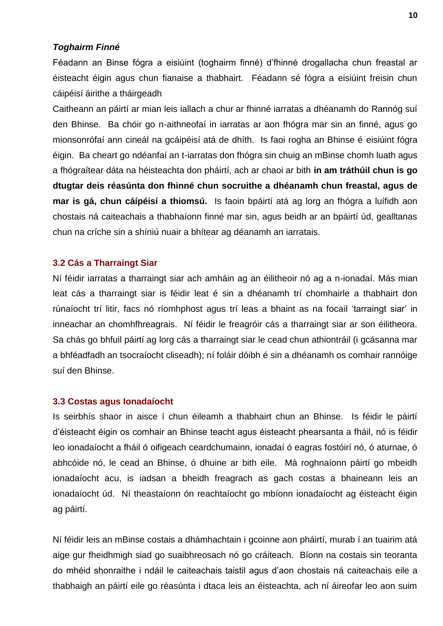# *Toghairm Finné*

Féadann an Binse fógra a eisiúint (toghairm finné) d'fhinné drogallacha chun freastal ar éisteacht éigin agus chun fianaise a thabhairt. Féadann sé fógra a eisiúint freisin chun cáipéisí áirithe a tháirgeadh

Caitheann an páirtí ar mian leis iallach a chur ar fhinné iarratas a dhéanamh do Rannóg suí den Bhinse. Ba chóir go n-aithneofaí in iarratas ar aon fhógra mar sin an finné, agus go mionsonrófaí ann cineál na gcáipéisí atá de dhíth. Is faoi rogha an Bhinse é eisiúint fógra éigin. Ba cheart go ndéanfaí an t-iarratas don fhógra sin chuig an mBinse chomh luath agus a fhógraítear dáta na héisteachta don pháirtí, ach ar chaoi ar bith **in am tráthúil chun is go dtugtar deis réasúnta don fhinné chun socruithe a dhéanamh chun freastal, agus de mar is gá, chun cáípéisí a thiomsú.** Is faoin bpáirtí atá ag lorg an fhógra a luífidh aon chostais ná caiteachais a thabhaíonn finné mar sin, agus beidh ar an bpáirtí úd, gealltanas chun na críche sin a shíniú nuair a bhítear ag déanamh an iarratais.

#### **3.2 Cás a Tharraingt Siar**

Ní féidir iarratas a tharraingt siar ach amháin ag an éilitheoir nó ag a n-ionadaí. Más mian leat cás a tharraingt siar is féidir leat é sin a dhéanamh trí chomhairle a thabhairt don rúnaíocht trí litir, facs nó ríomhphost agus trí leas a bhaint as na focail 'tarraingt siar' in inneachar an chomhfhreagrais. Ní féidir le freagróir cás a tharraingt siar ar son éilitheora. Sa chás go bhfuil páirtí ag lorg cás a tharraingt siar le cead chun athiontráil (i gcásanna mar a bhféadfadh an tsocraíocht cliseadh); ní foláir dóibh é sin a dhéanamh os comhair rannóige suí den Bhinse.

#### **3.3 Costas agus Ionadaíocht**

Is seirbhís shaor in aisce í chun éileamh a thabhairt chun an Bhinse. Is féidir le páirtí d'éisteacht éigin os comhair an Bhinse teacht agus éisteacht phearsanta a fháil, nó is féidir leo ionadaíocht a fháil ó oifigeach ceardchumainn, ionadaí ó eagras fostóirí nó, ó aturnae, ó abhcóide nó, le cead an Bhinse, ó dhuine ar bith eile. Má roghnaíonn páirtí go mbeidh ionadaíocht acu, is iadsan a bheidh freagrach as gach costas a bhaineann leis an ionadaíocht úd. Ní theastaíonn ón reachtaíocht go mbíonn ionadaíocht ag éisteacht éigin ag páirtí.

Ní féidir leis an mBinse costais a dhámhachtain i gcoinne aon pháirtí, murab í an tuairim atá aige gur fheidhmigh siad go suaibhreosach nó go cráiteach. Bíonn na costais sin teoranta do mhéid shonraithe i ndáil le caiteachais taistil agus d'aon chostais ná caiteachais eile a thabhaigh an páirtí eile go réasúnta i dtaca leis an éisteachta, ach ní áireofar leo aon suim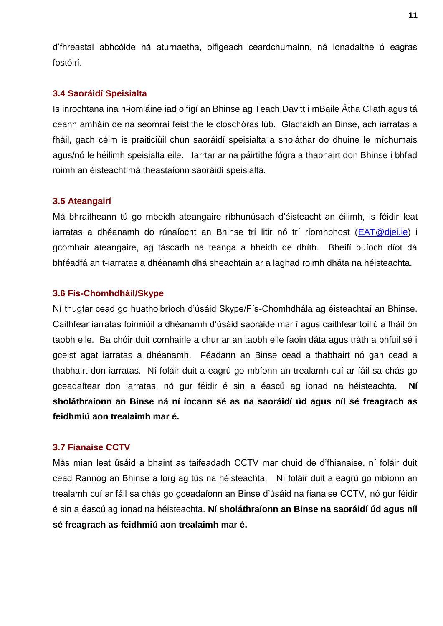d'fhreastal abhcóide ná aturnaetha, oifigeach ceardchumainn, ná ionadaithe ó eagras fostóirí.

#### **3.4 Saoráidí Speisialta**

Is inrochtana ina n-iomláine iad oifigí an Bhinse ag Teach Davitt i mBaile Átha Cliath agus tá ceann amháin de na seomraí feistithe le closchóras lúb. Glacfaidh an Binse, ach iarratas a fháil, gach céim is praiticiúil chun saoráidí speisialta a sholáthar do dhuine le míchumais agus/nó le héilimh speisialta eile. Iarrtar ar na páirtithe fógra a thabhairt don Bhinse i bhfad roimh an éisteacht má theastaíonn saoráidí speisialta.

#### **3.5 Ateangairí**

Má bhraitheann tú go mbeidh ateangaire ríbhunúsach d'éisteacht an éilimh, is féidir leat iarratas a dhéanamh do rúnaíocht an Bhinse trí litir nó trí ríomhphost [\(EAT@djei.ie\)](mailto:EAT@djei.ie) i gcomhair ateangaire, ag táscadh na teanga a bheidh de dhíth. Bheifí buíoch díot dá bhféadfá an t-iarratas a dhéanamh dhá sheachtain ar a laghad roimh dháta na héisteachta.

### **3.6 Fís-Chomhdháil/Skype**

Ní thugtar cead go huathoibríoch d'úsáid Skype/Fís-Chomhdhála ag éisteachtaí an Bhinse. Caithfear iarratas foirmiúil a dhéanamh d'úsáid saoráide mar í agus caithfear toiliú a fháil ón taobh eile. Ba chóir duit comhairle a chur ar an taobh eile faoin dáta agus tráth a bhfuil sé i gceist agat iarratas a dhéanamh. Féadann an Binse cead a thabhairt nó gan cead a thabhairt don iarratas. Ní foláir duit a eagrú go mbíonn an trealamh cuí ar fáil sa chás go gceadaítear don iarratas, nó gur féidir é sin a éascú ag ionad na héisteachta. **Ní sholáthraíonn an Binse ná ní íocann sé as na saoráidí úd agus níl sé freagrach as feidhmiú aon trealaimh mar é.** 

## **3.7 Fianaise CCTV**

Más mian leat úsáid a bhaint as taifeadadh CCTV mar chuid de d'fhianaise, ní foláir duit cead Rannóg an Bhinse a lorg ag tús na héisteachta. Ní foláir duit a eagrú go mbíonn an trealamh cuí ar fáil sa chás go gceadaíonn an Binse d'úsáid na fianaise CCTV, nó gur féidir é sin a éascú ag ionad na héisteachta. **Ní sholáthraíonn an Binse na saoráidí úd agus níl sé freagrach as feidhmiú aon trealaimh mar é.**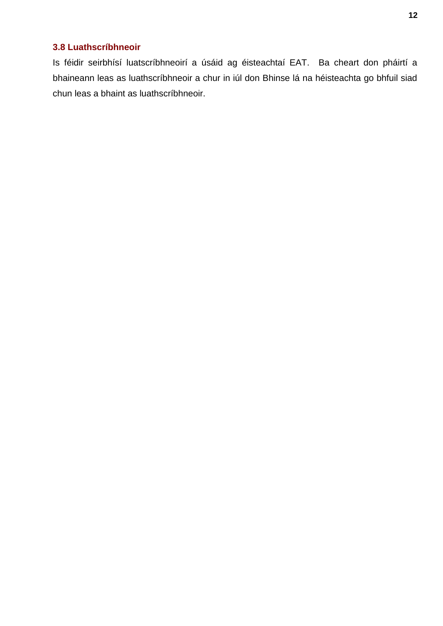# **3.8 Luathscríbhneoir**

Is féidir seirbhísí luatscríbhneoirí a úsáid ag éisteachtaí EAT. Ba cheart don pháirtí a bhaineann leas as luathscríbhneoir a chur in iúl don Bhinse lá na héisteachta go bhfuil siad chun leas a bhaint as luathscríbhneoir.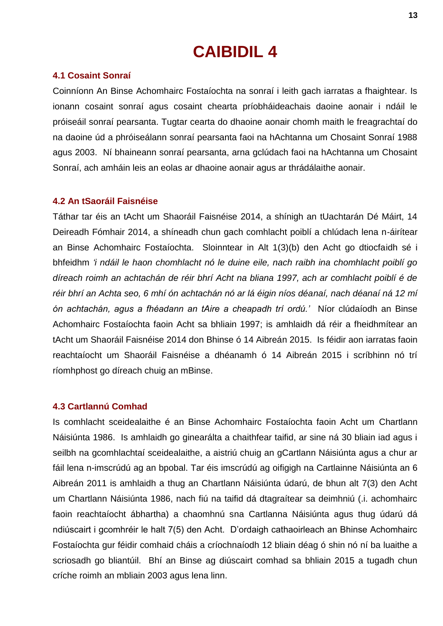### **4.1 Cosaint Sonraí**

Coinníonn An Binse Achomhairc Fostaíochta na sonraí i leith gach iarratas a fhaightear. Is ionann cosaint sonraí agus cosaint chearta príobháideachais daoine aonair i ndáil le próiseáil sonraí pearsanta. Tugtar cearta do dhaoine aonair chomh maith le freagrachtaí do na daoine úd a phróiseálann sonraí pearsanta faoi na hAchtanna um Chosaint Sonraí 1988 agus 2003. Ní bhaineann sonraí pearsanta, arna gclúdach faoi na hAchtanna um Chosaint Sonraí, ach amháin leis an eolas ar dhaoine aonair agus ar thrádálaithe aonair.

#### **4.2 An tSaoráil Faisnéise**

Táthar tar éis an tAcht um Shaoráil Faisnéise 2014, a shínigh an tUachtarán Dé Máirt, 14 Deireadh Fómhair 2014, a shíneadh chun gach comhlacht poiblí a chlúdach lena n-áirítear an Binse Achomhairc Fostaíochta. Sloinntear in Alt 1(3)(b) den Acht go dtiocfaidh sé i bhfeidhm *'i ndáil le haon chomhlacht nó le duine eile, nach raibh ina chomhlacht poiblí go díreach roimh an achtachán de réir bhrí Acht na bliana 1997, ach ar comhlacht poiblí é de réir bhrí an Achta seo, 6 mhí ón achtachán nó ar lá éigin níos déanaí, nach déanaí ná 12 mí ón achtachán, agus a fhéadann an tAire a cheapadh trí ordú.'* Níor clúdaíodh an Binse Achomhairc Fostaíochta faoin Acht sa bhliain 1997; is amhlaidh dá réir a fheidhmítear an tAcht um Shaoráil Faisnéise 2014 don Bhinse ó 14 Aibreán 2015. Is féidir aon iarratas faoin reachtaíocht um Shaoráil Faisnéise a dhéanamh ó 14 Aibreán 2015 i scríbhinn nó trí ríomhphost go díreach chuig an mBinse.

## **4.3 Cartlannú Comhad**

Is comhlacht sceidealaithe é an Binse Achomhairc Fostaíochta faoin Acht um Chartlann Náisiúnta 1986. Is amhlaidh go ginearálta a chaithfear taifid, ar sine ná 30 bliain iad agus i seilbh na gcomhlachtaí sceidealaithe, a aistriú chuig an gCartlann Náisiúnta agus a chur ar fáil lena n-imscrúdú ag an bpobal. Tar éis imscrúdú ag oifigigh na Cartlainne Náisiúnta an 6 Aibreán 2011 is amhlaidh a thug an Chartlann Náisiúnta údarú, de bhun alt 7(3) den Acht um Chartlann Náisiúnta 1986, nach fiú na taifid dá dtagraítear sa deimhniú (.i. achomhairc faoin reachtaíocht ábhartha) a chaomhnú sna Cartlanna Náisiúnta agus thug údarú dá ndiúscairt i gcomhréir le halt 7(5) den Acht. D'ordaigh cathaoirleach an Bhinse Achomhairc Fostaíochta gur féidir comhaid cháis a críochnaíodh 12 bliain déag ó shin nó ní ba luaithe a scriosadh go bliantúil. Bhí an Binse ag diúscairt comhad sa bhliain 2015 a tugadh chun críche roimh an mbliain 2003 agus lena linn.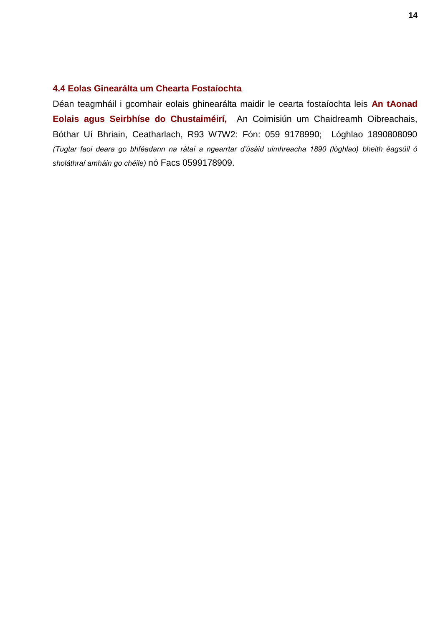# **4.4 Eolas Ginearálta um Chearta Fostaíochta**

Déan teagmháil i gcomhair eolais ghinearálta maidir le cearta fostaíochta leis **An tAonad Eolais agus Seirbhíse do Chustaiméirí,** An Coimisiún um Chaidreamh Oibreachais, Bóthar Uí Bhriain, Ceatharlach, R93 W7W2: Fón: 059 9178990; Lóghlao 1890808090 *(Tugtar faoi deara go bhféadann na rátaí a ngearrtar d'úsáid uimhreacha 1890 (lóghlao) bheith éagsúil ó sholáthraí amháin go chéile)* nó Facs 0599178909.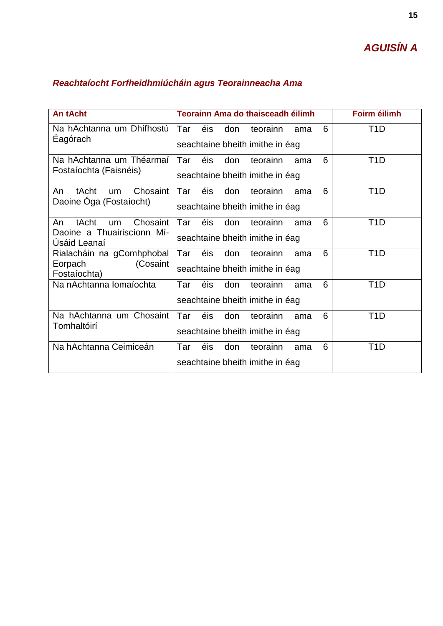# *Reachtaíocht Forfheidhmiúcháin agus Teorainneacha Ama*

| <b>An tAcht</b>                                                             | Teorainn Ama do thaisceadh éilimh                                            | Foirm éilimh     |
|-----------------------------------------------------------------------------|------------------------------------------------------------------------------|------------------|
| Na hAchtanna um Dhífhostú<br>Eagórach                                       | éis<br>Tar<br>don<br>6<br>teorainn<br>ama<br>seachtaine bheith imithe in éag | T <sub>1</sub> D |
| Na hAchtanna um Théarmaí<br>Fostaíochta (Faisnéis)                          | éis<br>Tar<br>don<br>6<br>teorainn<br>ama<br>seachtaine bheith imithe in éag | T <sub>1</sub> D |
| Chosaint<br>tAcht<br>An<br>um<br>Daoine Óga (Fostaíocht)                    | éis<br>don<br>teorainn<br>Tar<br>6<br>ama<br>seachtaine bheith imithe in éag | T <sub>1</sub> D |
| Chosaint<br>tAcht<br>An<br>um<br>Daoine a Thuairiscíonn Mí-<br>Úsáid Leanaí | éis<br>don<br>Tar<br>teorainn<br>6<br>ama<br>seachtaine bheith imithe in éag | T <sub>1</sub> D |
| Rialacháin na gComhphobal<br>(Cosaint<br>Eorpach<br>Fostaíochta)            | éis<br>6<br>don<br>teorainn<br>Tar<br>ama<br>seachtaine bheith imithe in éag | T <sub>1</sub> D |
| Na nAchtanna Iomaíochta                                                     | éis<br>don<br>teorainn<br>Tar<br>6<br>ama<br>seachtaine bheith imithe in éag | T <sub>1</sub> D |
| Na hAchtanna um Chosaint<br>Tomhaltóirí                                     | éis<br>don<br>Tar<br>teorainn<br>6<br>ama<br>seachtaine bheith imithe in éag | T <sub>1</sub> D |
| Na hAchtanna Ceimiceán                                                      | éis<br>Tar<br>don<br>teorainn<br>6<br>ama<br>seachtaine bheith imithe in éag | T <sub>1</sub> D |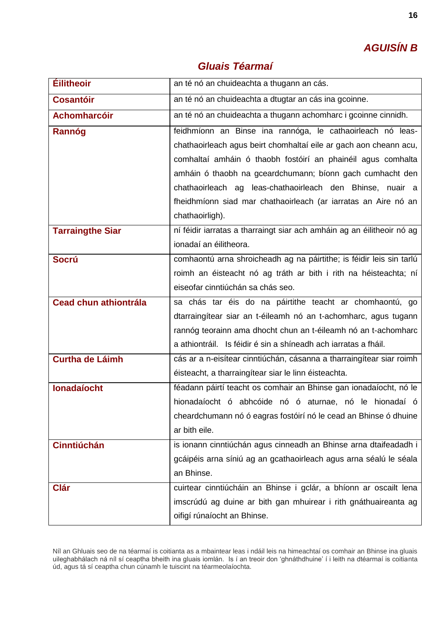# *AGUISÍN B*

**16**

| <b>Éilitheoir</b>       | an té nó an chuideachta a thugann an cás.                              |
|-------------------------|------------------------------------------------------------------------|
| <b>Cosantóir</b>        | an té nó an chuideachta a dtugtar an cás ina gcoinne.                  |
| <b>Achomharcóir</b>     | an té nó an chuideachta a thugann achomharc i gcoinne cinnidh.         |
| Rannóg                  | feidhmíonn an Binse ina rannóga, le cathaoirleach nó leas-             |
|                         | chathaoirleach agus beirt chomhaltaí eile ar gach aon cheann acu,      |
|                         | comhaltaí amháin ó thaobh fostóirí an phainéil agus comhalta           |
|                         | amháin ó thaobh na gceardchumann; bíonn gach cumhacht den              |
|                         | chathaoirleach ag leas-chathaoirleach den Bhinse, nuair a              |
|                         | fheidhmíonn siad mar chathaoirleach (ar iarratas an Aire nó an         |
|                         | chathaoirligh).                                                        |
| <b>Tarraingthe Siar</b> | ní féidir iarratas a tharraingt siar ach amháin ag an éilitheoir nó ag |
|                         | ionadaí an éilitheora.                                                 |
| <b>Socrú</b>            | comhaontú arna shroicheadh ag na páirtithe; is féidir leis sin tarlú   |
|                         | roimh an éisteacht nó ag tráth ar bith i rith na héisteachta; ní       |
|                         | eiseofar cinntiúchán sa chás seo.                                      |
| Cead chun athiontrála   | sa chás tar éis do na páirtithe teacht ar chomhaontú, go               |
|                         | dtarraingítear siar an t-éileamh nó an t-achomharc, agus tugann        |
|                         | rannóg teorainn ama dhocht chun an t-éileamh nó an t-achomharc         |
|                         | a athiontráil. Is féidir é sin a shíneadh ach iarratas a fháil.        |
| <b>Curtha de Láimh</b>  | cás ar a n-eisítear cinntiúchán, cásanna a tharraingítear siar roimh   |
|                         | éisteacht, a tharraingítear siar le linn éisteachta.                   |
| <b>lonadaíocht</b>      | féadann páirtí teacht os comhair an Bhinse gan ionadaíocht, nó le      |
|                         | hionadaíocht ó abhcóide nó ó aturnae, nó le hionadaí ó                 |
|                         | cheardchumann nó ó eagras fostóirí nó le cead an Bhinse ó dhuine       |
|                         | ar bith eile.                                                          |
| <b>Cinntiúchán</b>      | is ionann cinntiúchán agus cinneadh an Bhinse arna dtaifeadadh i       |
|                         | gcáipéis arna síniú ag an gcathaoirleach agus arna séalú le séala      |
|                         | an Bhinse.                                                             |
| <b>Clár</b>             | cuirtear cinntiúcháin an Bhinse i gclár, a bhíonn ar oscailt lena      |
|                         | imscrúdú ag duine ar bith gan mhuirear i rith gnáthuaireanta ag        |
|                         | oifigí rúnaíocht an Bhinse.                                            |

# *Gluais Téarmaí*

Níl an Ghluais seo de na téarmaí is coitianta as a mbaintear leas i ndáil leis na himeachtaí os comhair an Bhinse ina gluais uileghabhálach ná níl sí ceaptha bheith ina gluais iomlán. Is í an treoir don 'ghnáthdhuine' í i leith na dtéarmaí is coitianta úd, agus tá sí ceaptha chun cúnamh le tuiscint na téarmeolaíochta.